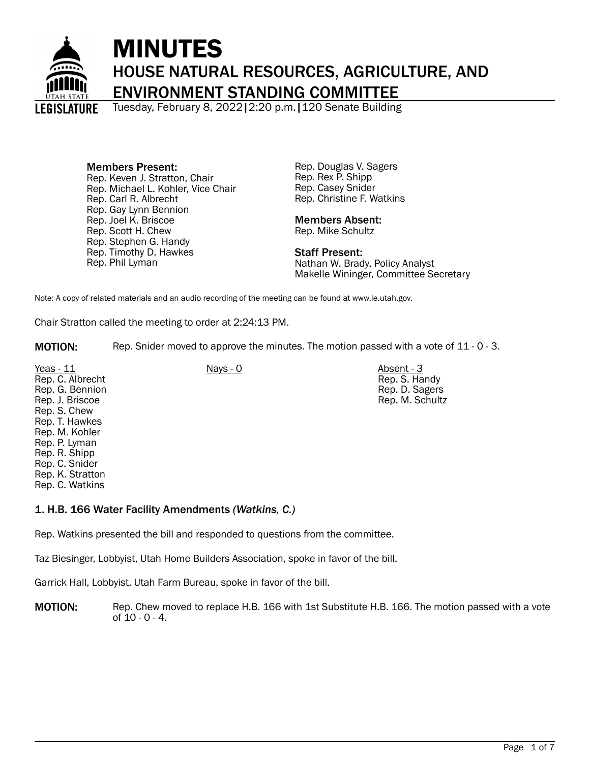

# MINUTES HOUSE NATURAL RESOURCES, AGRICULTURE, AND ENVIRONMENT STANDING COMMITTEE

Tuesday, February 8, 2022|2:20 p.m.|120 Senate Building

Members Present: Rep. Keven J. Stratton, Chair Rep. Michael L. Kohler, Vice Chair Rep. Carl R. Albrecht Rep. Gay Lynn Bennion Rep. Joel K. Briscoe Rep. Scott H. Chew Rep. Stephen G. Handy Rep. Timothy D. Hawkes Rep. Phil Lyman

Rep. Douglas V. Sagers Rep. Rex P. Shipp Rep. Casey Snider Rep. Christine F. Watkins

# Members Absent:

Rep. Mike Schultz

Staff Present: Nathan W. Brady, Policy Analyst Makelle Wininger, Committee Secretary

Note: A copy of related materials and an audio recording of the meeting can be found at www.le.utah.gov.

Chair Stratton called the meeting to order at 2:24:13 PM.

MOTION: Rep. Snider moved to approve the minutes. The motion passed with a vote of 11 - 0 - 3.

Yeas - 11 Nays - 0 Nays - 0 Absent - 3 Rep. C. Albrecht Rep. G. Bennion Rep. J. Briscoe Rep. S. Chew Rep. T. Hawkes Rep. M. Kohler Rep. P. Lyman Rep. R. Shipp Rep. C. Snider Rep. K. Stratton Rep. C. Watkins

Rep. S. Handy Rep. D. Sagers Rep. M. Schultz

1. H.B. 166 Water Facility Amendments *(Watkins, C.)*

Rep. Watkins presented the bill and responded to questions from the committee.

Taz Biesinger, Lobbyist, Utah Home Builders Association, spoke in favor of the bill.

Garrick Hall, Lobbyist, Utah Farm Bureau, spoke in favor of the bill.

MOTION: Rep. Chew moved to replace H.B. 166 with 1st Substitute H.B. 166. The motion passed with a vote of 10 - 0 - 4.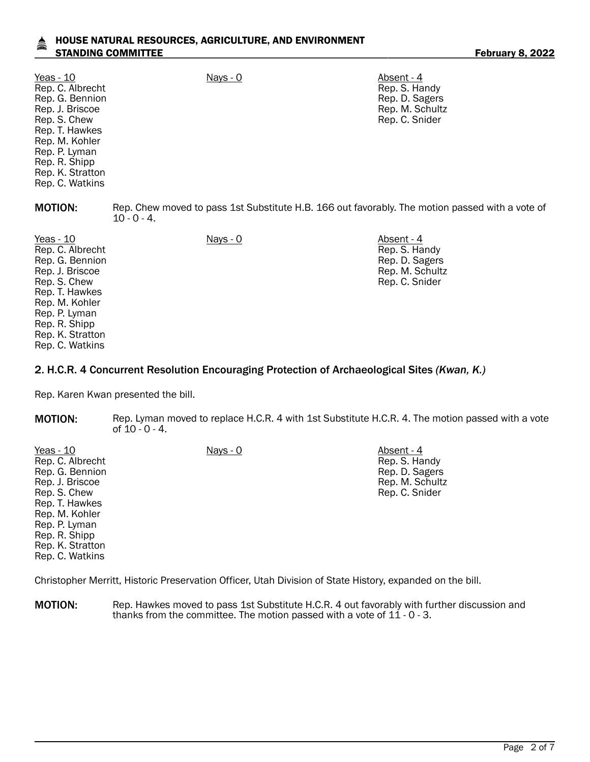#### HOUSE NATURAL RESOURCES, AGRICULTURE, AND ENVIRONMENT STANDING COMMITTEE FEBRUARY 8, 2022

| Yeas - 10<br>Rep. C. Albrecht<br>Rep. G. Bennion<br>Rep. J. Briscoe<br>Rep. S. Chew<br>Rep. T. Hawkes<br>Rep. M. Kohler<br>Rep. P. Lyman<br>Rep. R. Shipp<br>Rep. K. Stratton<br>Rep. C. Watkins | Nays - 0                                                                                                         | Absent - 4<br>Rep. S. Handy<br>Rep. D. Sagers<br>Rep. M. Schultz<br>Rep. C. Snider |
|--------------------------------------------------------------------------------------------------------------------------------------------------------------------------------------------------|------------------------------------------------------------------------------------------------------------------|------------------------------------------------------------------------------------|
| <b>MOTION:</b>                                                                                                                                                                                   | Rep. Chew moved to pass 1st Substitute H.B. 166 out favorably. The motion passed with a vote of<br>$10 - 0 - 4.$ |                                                                                    |
| Yeas - 10<br>Rep. C. Albrecht<br>Rep. G. Bennion<br>Rep. J. Briscoe<br>Rep. S. Chew<br>Rep. T. Hawkes<br>Rep. M. Kohler<br>Rep. P. Lyman<br>Rep. R. Shipp<br>Rep. K. Stratton<br>Rep. C. Watkins | $Nays - 0$                                                                                                       | Absent - 4<br>Rep. S. Handy<br>Rep. D. Sagers<br>Rep. M. Schultz<br>Rep. C. Snider |

#### 2. H.C.R. 4 Concurrent Resolution Encouraging Protection of Archaeological Sites *(Kwan, K.)*

Rep. Karen Kwan presented the bill.

Rep. C. Watkins

MOTION: Rep. Lyman moved to replace H.C.R. 4 with 1st Substitute H.C.R. 4. The motion passed with a vote of  $10 - 0 - 4$ .

| Yeas - 10        | Nays - 0 | Absent - 4      |
|------------------|----------|-----------------|
| Rep. C. Albrecht |          | Rep. S. Handy   |
| Rep. G. Bennion  |          | Rep. D. Sagers  |
| Rep. J. Briscoe  |          | Rep. M. Schultz |
| Rep. S. Chew     |          | Rep. C. Snider  |
| Rep. T. Hawkes   |          |                 |
| Rep. M. Kohler   |          |                 |
| Rep. P. Lyman    |          |                 |
| Rep. R. Shipp    |          |                 |
| Rep. K. Stratton |          |                 |

Christopher Merritt, Historic Preservation Officer, Utah Division of State History, expanded on the bill.

**MOTION:** Rep. Hawkes moved to pass 1st Substitute H.C.R. 4 out favorably with further discussion and thanks from the committee. The motion passed with a vote of 11 - 0 - 3.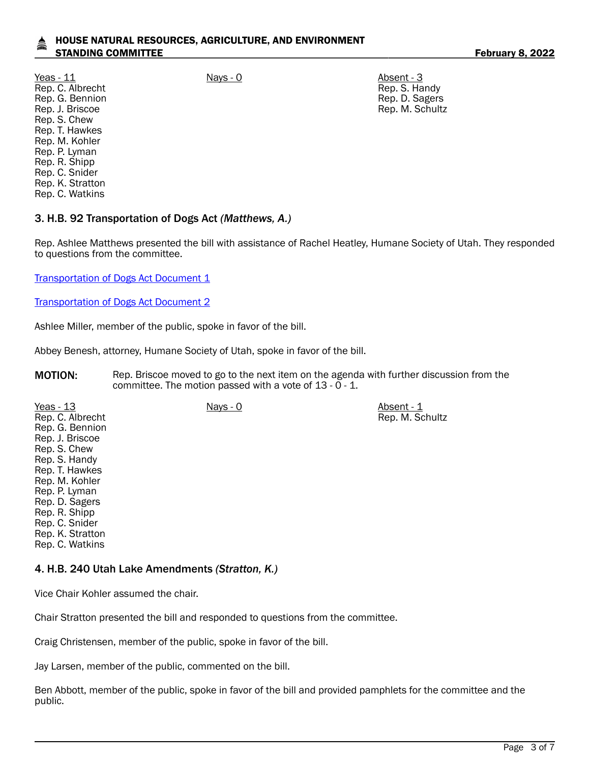### HOUSE NATURAL RESOURCES, AGRICULTURE, AND ENVIRONMENT STANDING COMMITTEE **February 8, 2022**

Yeas - 11 Nays - 0 Nays - 0 Absent - 3 Rep. C. Albrecht Rep. G. Bennion Rep. J. Briscoe Rep. S. Chew Rep. T. Hawkes Rep. M. Kohler Rep. P. Lyman Rep. R. Shipp Rep. C. Snider Rep. K. Stratton Rep. C. Watkins

Rep. S. Handy Rep. D. Sagers Rep. M. Schultz

Rep. M. Schultz

# 3. H.B. 92 Transportation of Dogs Act *(Matthews, A.)*

Rep. Ashlee Matthews presented the bill with assistance of Rachel Heatley, Humane Society of Utah. They responded to questions from the committee.

[Transportation of Dogs Act Document 1](https://le.utah.gov/interim/2022/pdf/00001650.pdf)

[Transportation of Dogs Act Document 2](https://le.utah.gov/interim/2022/pdf/00001651.pdf)

Ashlee Miller, member of the public, spoke in favor of the bill.

Abbey Benesh, attorney, Humane Society of Utah, spoke in favor of the bill.

**MOTION:** Rep. Briscoe moved to go to the next item on the agenda with further discussion from the committee. The motion passed with a vote of 13 - 0 - 1.

Yeas - 13 Nays - 0 Nays - 0 Absent - 1 Rep. C. Albrecht Rep. G. Bennion Rep. J. Briscoe Rep. S. Chew Rep. S. Handy Rep. T. Hawkes Rep. M. Kohler Rep. P. Lyman Rep. D. Sagers Rep. R. Shipp Rep. C. Snider Rep. K. Stratton Rep. C. Watkins

#### 4. H.B. 240 Utah Lake Amendments *(Stratton, K.)*

Vice Chair Kohler assumed the chair.

Chair Stratton presented the bill and responded to questions from the committee.

Craig Christensen, member of the public, spoke in favor of the bill.

Jay Larsen, member of the public, commented on the bill.

Ben Abbott, member of the public, spoke in favor of the bill and provided pamphlets for the committee and the public.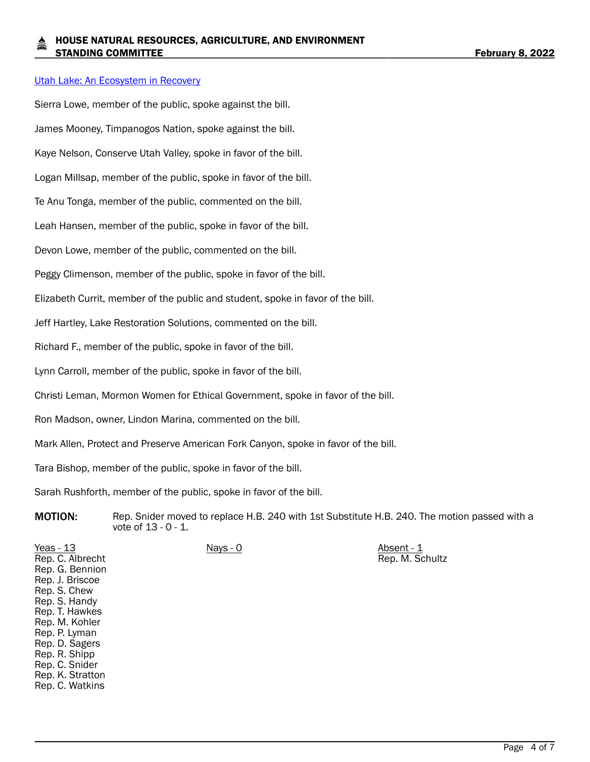#### [Utah Lake: An Ecosystem in Recovery](https://le.utah.gov/interim/2022/pdf/00001652.pdf)

Sierra Lowe, member of the public, spoke against the bill. James Mooney, Timpanogos Nation, spoke against the bill. Kaye Nelson, Conserve Utah Valley, spoke in favor of the bill. Logan Millsap, member of the public, spoke in favor of the bill. Te Anu Tonga, member of the public, commented on the bill. Leah Hansen, member of the public, spoke in favor of the bill. Devon Lowe, member of the public, commented on the bill. Peggy Climenson, member of the public, spoke in favor of the bill. Elizabeth Currit, member of the public and student, spoke in favor of the bill. Jeff Hartley, Lake Restoration Solutions, commented on the bill. Richard F., member of the public, spoke in favor of the bill. Lynn Carroll, member of the public, spoke in favor of the bill. Christi Leman, Mormon Women for Ethical Government, spoke in favor of the bill. Ron Madson, owner, Lindon Marina, commented on the bill. Mark Allen, Protect and Preserve American Fork Canyon, spoke in favor of the bill. Tara Bishop, member of the public, spoke in favor of the bill.

Sarah Rushforth, member of the public, spoke in favor of the bill.

**MOTION:** Rep. Snider moved to replace H.B. 240 with 1st Substitute H.B. 240. The motion passed with a vote of 13 - 0 - 1.

Yeas - 13 Nays - 0 Nays - 0 Absent - 1 Rep. C. Albrecht Rep. G. Bennion Rep. J. Briscoe Rep. S. Chew Rep. S. Handy Rep. T. Hawkes Rep. M. Kohler Rep. P. Lyman Rep. D. Sagers Rep. R. Shipp Rep. C. Snider Rep. K. Stratton Rep. C. Watkins Rep. M. Schultz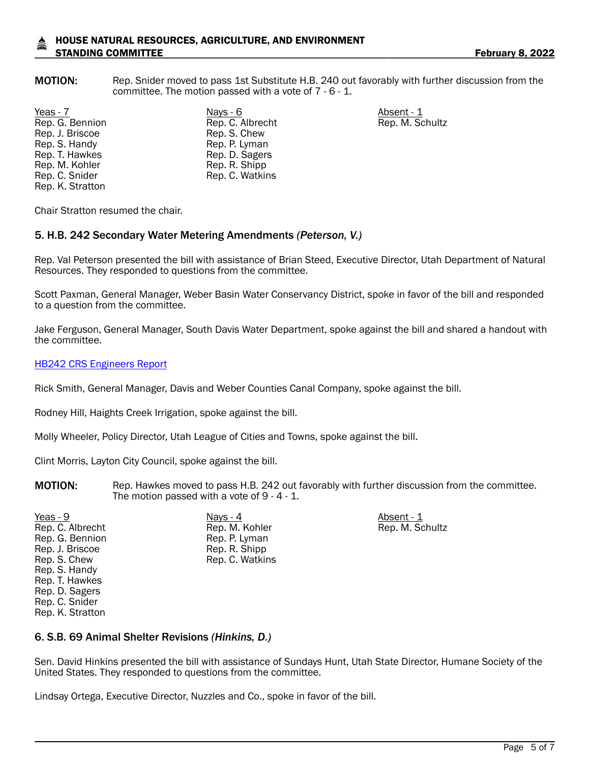### HOUSE NATURAL RESOURCES, AGRICULTURE, AND ENVIRONMENT STANDING COMMITTEE **February 8, 2022**

MOTION: Rep. Snider moved to pass 1st Substitute H.B. 240 out favorably with further discussion from the committee. The motion passed with a vote of 7 - 6 - 1.

Yeas - 7 Nays - 6 Absent - 1 Rep. G. Bennion Rep. J. Briscoe Rep. S. Handy Rep. T. Hawkes Rep. M. Kohler Rep. C. Snider Rep. K. Stratton

Rep. C. Albrecht Rep. S. Chew Rep. P. Lyman Rep. D. Sagers Rep. R. Shipp Rep. C. Watkins

Rep. M. Schultz

Chair Stratton resumed the chair.

#### 5. H.B. 242 Secondary Water Metering Amendments *(Peterson, V.)*

Rep. Val Peterson presented the bill with assistance of Brian Steed, Executive Director, Utah Department of Natural Resources. They responded to questions from the committee.

Scott Paxman, General Manager, Weber Basin Water Conservancy District, spoke in favor of the bill and responded to a question from the committee.

Jake Ferguson, General Manager, South Davis Water Department, spoke against the bill and shared a handout with the committee.

#### [HB242 CRS Engineers Report](https://le.utah.gov/interim/2022/pdf/00001682.pdf)

Rick Smith, General Manager, Davis and Weber Counties Canal Company, spoke against the bill.

Rodney Hill, Haights Creek Irrigation, spoke against the bill.

Molly Wheeler, Policy Director, Utah League of Cities and Towns, spoke against the bill.

Clint Morris, Layton City Council, spoke against the bill.

- **MOTION:** Rep. Hawkes moved to pass H.B. 242 out favorably with further discussion from the committee. The motion passed with a vote of 9 - 4 - 1.
- Yeas 9 Nays 4 Absent 1 Rep. C. Albrecht Rep. G. Bennion Rep. J. Briscoe Rep. S. Chew Rep. S. Handy Rep. T. Hawkes Rep. D. Sagers Rep. C. Snider Rep. K. Stratton

Rep. M. Kohler Rep. P. Lyman Rep. R. Shipp Rep. C. Watkins Rep. M. Schultz

### 6. S.B. 69 Animal Shelter Revisions *(Hinkins, D.)*

Sen. David Hinkins presented the bill with assistance of Sundays Hunt, Utah State Director, Humane Society of the United States. They responded to questions from the committee.

Lindsay Ortega, Executive Director, Nuzzles and Co., spoke in favor of the bill.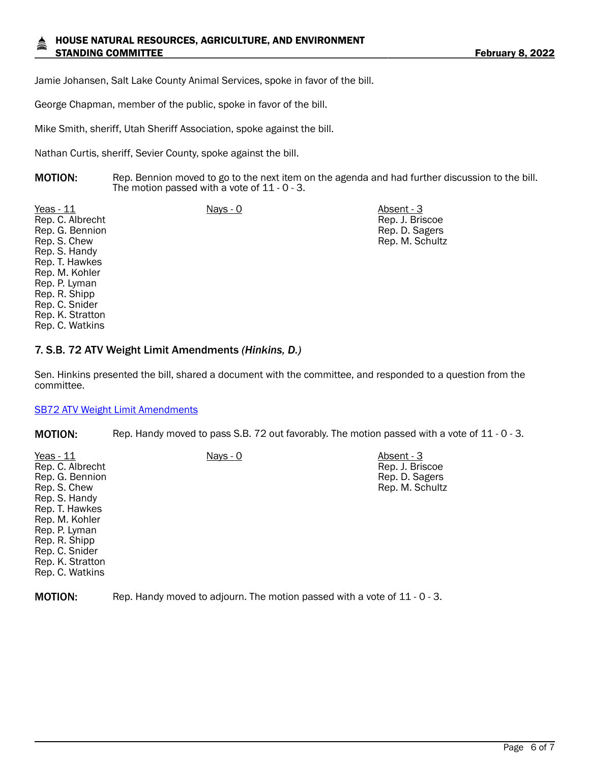#### HOUSE NATURAL RESOURCES, AGRICULTURE, AND ENVIRONMENT STANDING COMMITTEE **February 8, 2022**

Jamie Johansen, Salt Lake County Animal Services, spoke in favor of the bill.

George Chapman, member of the public, spoke in favor of the bill.

Mike Smith, sheriff, Utah Sheriff Association, spoke against the bill.

Nathan Curtis, sheriff, Sevier County, spoke against the bill.

**MOTION:** Rep. Bennion moved to go to the next item on the agenda and had further discussion to the bill. The motion passed with a vote of 11 - 0 - 3.

Yeas - 11 Nays - 0 Nays - 0 Absent - 3 Rep. C. Albrecht Rep. G. Bennion Rep. S. Chew Rep. S. Handy Rep. T. Hawkes Rep. M. Kohler Rep. P. Lyman Rep. R. Shipp Rep. C. Snider Rep. K. Stratton Rep. C. Watkins

Rep. J. Briscoe Rep. D. Sagers Rep. M. Schultz

## 7. S.B. 72 ATV Weight Limit Amendments *(Hinkins, D.)*

Sen. Hinkins presented the bill, shared a document with the committee, and responded to a question from the committee.

#### [SB72 ATV Weight Limit Amendments](https://le.utah.gov/interim/2022/pdf/00001685.pdf)

MOTION: Rep. Handy moved to pass S.B. 72 out favorably. The motion passed with a vote of 11 - 0 - 3.

| Yeas $-11$       | Nays - 0                                                                  | Absent - 3      |  |
|------------------|---------------------------------------------------------------------------|-----------------|--|
| Rep. C. Albrecht |                                                                           | Rep. J. Briscoe |  |
| Rep. G. Bennion  |                                                                           | Rep. D. Sagers  |  |
| Rep. S. Chew     |                                                                           | Rep. M. Schultz |  |
| Rep. S. Handy    |                                                                           |                 |  |
| Rep. T. Hawkes   |                                                                           |                 |  |
| Rep. M. Kohler   |                                                                           |                 |  |
| Rep. P. Lyman    |                                                                           |                 |  |
| Rep. R. Shipp    |                                                                           |                 |  |
| Rep. C. Snider   |                                                                           |                 |  |
| Rep. K. Stratton |                                                                           |                 |  |
| Rep. C. Watkins  |                                                                           |                 |  |
|                  |                                                                           |                 |  |
| <b>MOTION:</b>   | Rep. Handy moved to adjourn. The motion passed with a vote of 11 - 0 - 3. |                 |  |